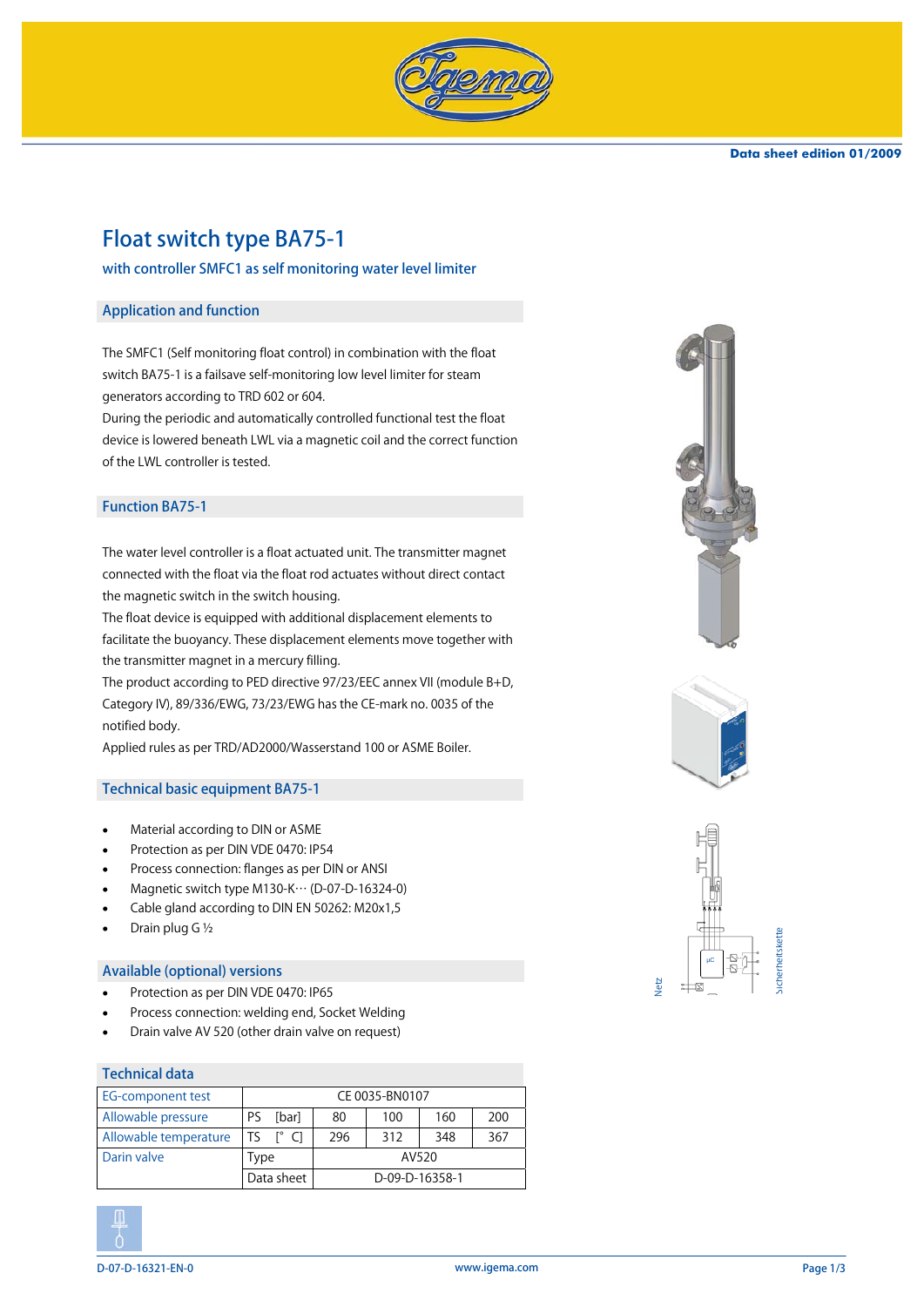

# Float switch type BA75-1

# with controller SMFC1 as self monitoring water level limiter

#### Application and function

The SMFC1 (Self monitoring float control) in combination with the float switch BA75-1 is a failsave self-monitoring low level limiter for steam generators according to TRD 602 or 604.

During the periodic and automatically controlled functional test the float device is lowered beneath LWL via a magnetic coil and the correct function of the LWL controller is tested.

## Function BA75-1

The water level controller is a float actuated unit. The transmitter magnet connected with the float via the float rod actuates without direct contact the magnetic switch in the switch housing.

The float device is equipped with additional displacement elements to facilitate the buoyancy. These displacement elements move together with the transmitter magnet in a mercury filling.

The product according to PED directive 97/23/EEC annex VII (module B+D, Category IV), 89/336/EWG, 73/23/EWG has the CE-mark no. 0035 of the notified body.

Applied rules as per TRD/AD2000/Wasserstand 100 or ASME Boiler.

#### Technical basic equipment BA75-1

- Material according to DIN or ASME
- Protection as per DIN VDE 0470: IP54
- Process connection: flanges as per DIN or ANSI
- Magnetic switch type M130-K… (D-07-D-16324-0)
- Cable gland according to DIN EN 50262: M20x1,5
- Drain plug G ½

#### Available (optional) versions

- Protection as per DIN VDE 0470: IP65
- Process connection: welding end, Socket Welding
- Drain valve AV 520 (other drain valve on request)

#### Technical data

| <b>EG-component test</b> | CE 0035-BN0107 |       |                |     |     |     |
|--------------------------|----------------|-------|----------------|-----|-----|-----|
| Allowable pressure       | PS             | [bar] | 80             | 100 | 160 | 200 |
| Allowable temperature    |                | г٥    | 296            | 312 | 348 | 367 |
| Darin valve              | Type           |       | AV520          |     |     |     |
|                          | Data sheet     |       | D-09-D-16358-1 |     |     |     |













Netz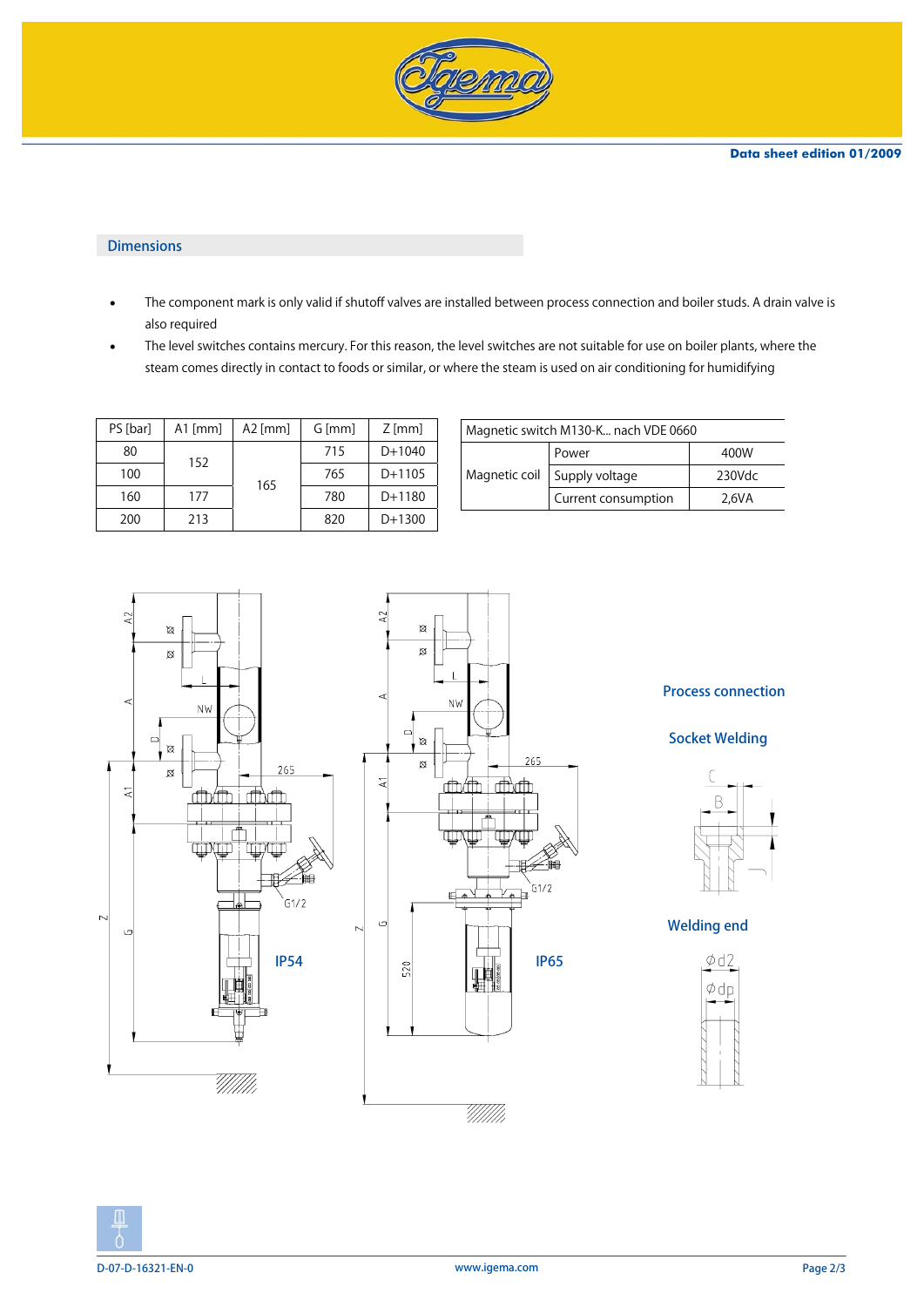

## Dimensions

- The component mark is only valid if shutoff valves are installed between process connection and boiler studs. A drain valve is also required
- The level switches contains mercury. For this reason, the level switches are not suitable for use on boiler plants, where the steam comes directly in contact to foods or similar, or where the steam is used on air conditioning for humidifying

| PS [bar] | $A1$ [mm] | $A2$ [mm] | G [mm] | $Z$ [mm] |
|----------|-----------|-----------|--------|----------|
| 80       | 152       |           | 715    | $D+1040$ |
| 100      |           | 165       | 765    | $D+1105$ |
| 160      | 177       |           | 780    | $D+1180$ |
| 200      | 213       |           | 820    | $D+1300$ |

| Magnetic switch M130-K nach VDE 0660 |        |  |  |  |
|--------------------------------------|--------|--|--|--|
| Power                                | 400W   |  |  |  |
| Magnetic coil Supply voltage         | 230Vdc |  |  |  |
| Current consumption                  | 2.6VA  |  |  |  |
|                                      |        |  |  |  |





# Process connection

Socket Welding



Welding end